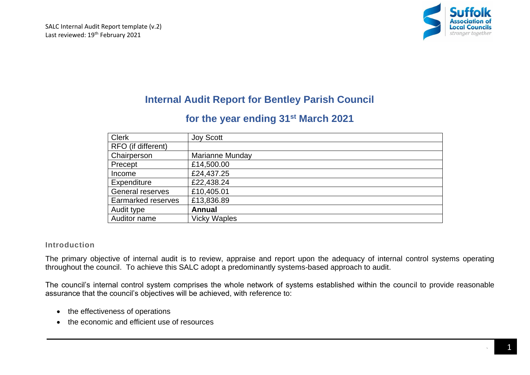

# **Internal Audit Report for Bentley Parish Council**

# **for the year ending 31st March 2021**

| <b>Clerk</b>              | <b>Joy Scott</b>    |
|---------------------------|---------------------|
| RFO (if different)        |                     |
| Chairperson               | Marianne Munday     |
| Precept                   | £14,500.00          |
| Income                    | £24,437.25          |
| Expenditure               | £22,438.24          |
| General reserves          | £10,405.01          |
| <b>Earmarked reserves</b> | £13,836.89          |
| Audit type                | <b>Annual</b>       |
| Auditor name              | <b>Vicky Waples</b> |

# **Introduction**

The primary objective of internal audit is to review, appraise and report upon the adequacy of internal control systems operating throughout the council. To achieve this SALC adopt a predominantly systems-based approach to audit.

The council's internal control system comprises the whole network of systems established within the council to provide reasonable assurance that the council's objectives will be achieved, with reference to:

- the effectiveness of operations
- the economic and efficient use of resources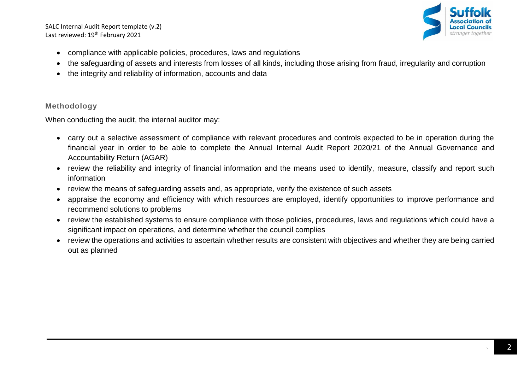SALC Internal Audit Report template (v.2) Last reviewed: 19<sup>th</sup> February 2021



- compliance with applicable policies, procedures, laws and regulations
- the safeguarding of assets and interests from losses of all kinds, including those arising from fraud, irregularity and corruption
- the integrity and reliability of information, accounts and data

## **Methodology**

When conducting the audit, the internal auditor may:

- carry out a selective assessment of compliance with relevant procedures and controls expected to be in operation during the financial year in order to be able to complete the Annual Internal Audit Report 2020/21 of the Annual Governance and Accountability Return (AGAR)
- review the reliability and integrity of financial information and the means used to identify, measure, classify and report such information
- review the means of safeguarding assets and, as appropriate, verify the existence of such assets
- appraise the economy and efficiency with which resources are employed, identify opportunities to improve performance and recommend solutions to problems
- review the established systems to ensure compliance with those policies, procedures, laws and regulations which could have a significant impact on operations, and determine whether the council complies
- review the operations and activities to ascertain whether results are consistent with objectives and whether they are being carried out as planned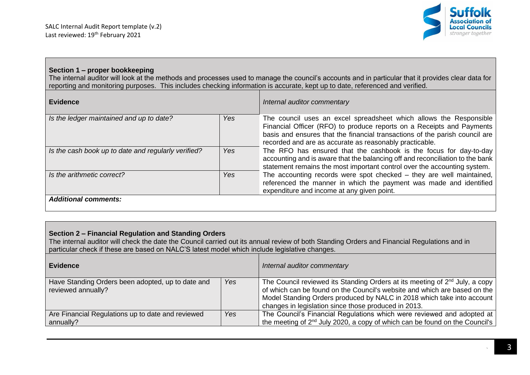

## **Section 1 – proper bookkeeping**

The internal auditor will look at the methods and processes used to manage the council's accounts and in particular that it provides clear data for reporting and monitoring purposes. This includes checking information is accurate, kept up to date, referenced and verified.

| <b>Evidence</b>                                     |            | Internal auditor commentary                                                                                                                                                                                                                                                           |
|-----------------------------------------------------|------------|---------------------------------------------------------------------------------------------------------------------------------------------------------------------------------------------------------------------------------------------------------------------------------------|
| Is the ledger maintained and up to date?            | Yes        | The council uses an excel spreadsheet which allows the Responsible<br>Financial Officer (RFO) to produce reports on a Receipts and Payments<br>basis and ensures that the financial transactions of the parish council are<br>recorded and are as accurate as reasonably practicable. |
| Is the cash book up to date and regularly verified? | Yes        | The RFO has ensured that the cashbook is the focus for day-to-day<br>accounting and is aware that the balancing off and reconciliation to the bank<br>statement remains the most important control over the accounting system.                                                        |
| Is the arithmetic correct?                          | <b>Yes</b> | The accounting records were spot checked $-$ they are well maintained,<br>referenced the manner in which the payment was made and identified<br>expenditure and income at any given point.                                                                                            |
| <b>Additional comments:</b>                         |            |                                                                                                                                                                                                                                                                                       |

## **Section 2 – Financial Regulation and Standing Orders**

The internal auditor will check the date the Council carried out its annual review of both Standing Orders and Financial Regulations and in particular check if these are based on NALC'S latest model which include legislative changes.

| <b>Evidence</b>                                                         |            | Internal auditor commentary                                                                                                                                                                                                                                                                            |
|-------------------------------------------------------------------------|------------|--------------------------------------------------------------------------------------------------------------------------------------------------------------------------------------------------------------------------------------------------------------------------------------------------------|
| Have Standing Orders been adopted, up to date and<br>reviewed annually? | <b>Yes</b> | The Council reviewed its Standing Orders at its meeting of 2 <sup>nd</sup> July, a copy<br>of which can be found on the Council's website and which are based on the<br>Model Standing Orders produced by NALC in 2018 which take into account<br>changes in legislation since those produced in 2013. |
| Are Financial Regulations up to date and reviewed<br>annually?          | Yes        | The Council's Financial Regulations which were reviewed and adopted at<br>the meeting of $2nd$ July 2020, a copy of which can be found on the Council's                                                                                                                                                |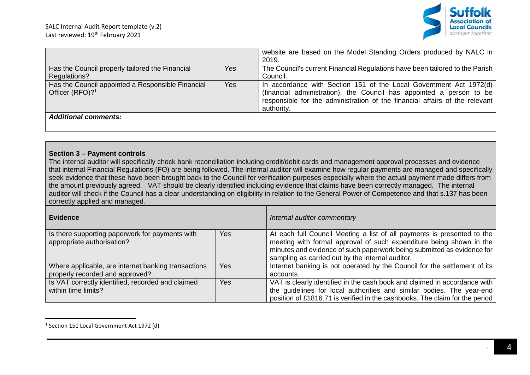

|                                                                                  |     | website are based on the Model Standing Orders produced by NALC in<br>2019.                                                                                                                                                             |
|----------------------------------------------------------------------------------|-----|-----------------------------------------------------------------------------------------------------------------------------------------------------------------------------------------------------------------------------------------|
| Has the Council properly tailored the Financial<br>Regulations?                  | Yes | The Council's current Financial Regulations have been tailored to the Parish<br>Council.                                                                                                                                                |
| Has the Council appointed a Responsible Financial<br>Officer (RFO)? <sup>1</sup> | Yes | In accordance with Section 151 of the Local Government Act 1972(d)<br>(financial administration), the Council has appointed a person to be<br>responsible for the administration of the financial affairs of the relevant<br>authority. |
| <b>Additional comments:</b>                                                      |     |                                                                                                                                                                                                                                         |

## **Section 3 – Payment controls**

The internal auditor will specifically check bank reconciliation including credit/debit cards and management approval processes and evidence that internal Financial Regulations (FO) are being followed. The internal auditor will examine how regular payments are managed and specifically seek evidence that these have been brought back to the Council for verification purposes especially where the actual payment made differs from the amount previously agreed. VAT should be clearly identified including evidence that claims have been correctly managed. The internal auditor will check if the Council has a clear understanding on eligibility in relation to the General Power of Competence and that s.137 has been correctly applied and managed*.*

| <b>Evidence</b>                                                                        |     | Internal auditor commentary                                                                                                                                                                                                                                                  |
|----------------------------------------------------------------------------------------|-----|------------------------------------------------------------------------------------------------------------------------------------------------------------------------------------------------------------------------------------------------------------------------------|
| Is there supporting paperwork for payments with<br>appropriate authorisation?          | Yes | At each full Council Meeting a list of all payments is presented to the<br>meeting with formal approval of such expenditure being shown in the<br>minutes and evidence of such paperwork being submitted as evidence for<br>sampling as carried out by the internal auditor. |
| Where applicable, are internet banking transactions<br>properly recorded and approved? | Yes | Internet banking is not operated by the Council for the settlement of its<br>accounts.                                                                                                                                                                                       |
| Is VAT correctly identified, recorded and claimed<br>within time limits?               | Yes | VAT is clearly identified in the cash book and claimed in accordance with<br>the guidelines for local authorities and similar bodies. The year-end<br>position of £1816.71 is verified in the cashbooks. The claim for the period                                            |

<sup>&</sup>lt;sup>1</sup> Section 151 Local Government Act 1972 (d)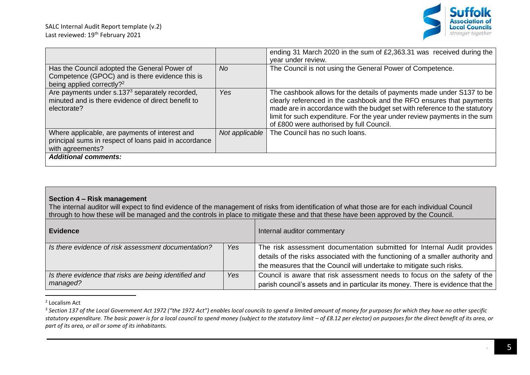

|                                                                                                                                          |                | ending 31 March 2020 in the sum of £2,363.31 was received during the<br>year under review.                                                                                                                                                                                                                                                           |
|------------------------------------------------------------------------------------------------------------------------------------------|----------------|------------------------------------------------------------------------------------------------------------------------------------------------------------------------------------------------------------------------------------------------------------------------------------------------------------------------------------------------------|
| Has the Council adopted the General Power of<br>Competence (GPOC) and is there evidence this is<br>being applied correctly? <sup>2</sup> | No.            | The Council is not using the General Power of Competence.                                                                                                                                                                                                                                                                                            |
| Are payments under s.137 <sup>3</sup> separately recorded,<br>minuted and is there evidence of direct benefit to<br>electorate?          | Yes            | The cashbook allows for the details of payments made under S137 to be<br>clearly referenced in the cashbook and the RFO ensures that payments<br>made are in accordance with the budget set with reference to the statutory<br>limit for such expenditure. For the year under review payments in the sum<br>of £800 were authorised by full Council. |
| Where applicable, are payments of interest and<br>principal sums in respect of loans paid in accordance<br>with agreements?              | Not applicable | The Council has no such loans.                                                                                                                                                                                                                                                                                                                       |
| <b>Additional comments:</b>                                                                                                              |                |                                                                                                                                                                                                                                                                                                                                                      |

# **Section 4 – Risk management**

The internal auditor will expect to find evidence of the management of risks from identification of what those are for each individual Council through to how these will be managed and the controls in place to mitigate these and that these have been approved by the Council.

| ∣ Evidence                                                        |     | Internal auditor commentary                                                                                                                                                                                                        |
|-------------------------------------------------------------------|-----|------------------------------------------------------------------------------------------------------------------------------------------------------------------------------------------------------------------------------------|
| Is there evidence of risk assessment documentation?               | Yes | The risk assessment documentation submitted for Internal Audit provides<br>details of the risks associated with the functioning of a smaller authority and<br>the measures that the Council will undertake to mitigate such risks. |
| Is there evidence that risks are being identified and<br>managed? | Yes | Council is aware that risk assessment needs to focus on the safety of the<br>parish council's assets and in particular its money. There is evidence that the                                                                       |

<sup>2</sup> Localism Act

<sup>&</sup>lt;sup>3</sup> Section 137 of the Local Government Act 1972 ("the 1972 Act") enables local councils to spend a limited amount of money for purposes for which they have no other specific statutory expenditure. The basic power is for a local council to spend money (subject to the statutory limit – of £8.12 per elector) on purposes for the direct benefit of its area, or *part of its area, or all or some of its inhabitants.*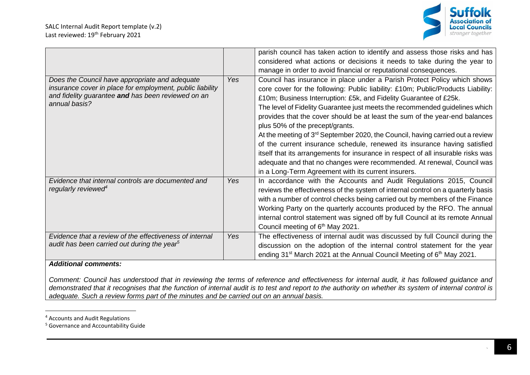

|                                                                                                                                                                                    |            | parish council has taken action to identify and assess those risks and has<br>considered what actions or decisions it needs to take during the year to<br>manage in order to avoid financial or reputational consequences.                                                                                                                                                                                                                                                                                                                                                                                                                                                                                                                                                                                             |
|------------------------------------------------------------------------------------------------------------------------------------------------------------------------------------|------------|------------------------------------------------------------------------------------------------------------------------------------------------------------------------------------------------------------------------------------------------------------------------------------------------------------------------------------------------------------------------------------------------------------------------------------------------------------------------------------------------------------------------------------------------------------------------------------------------------------------------------------------------------------------------------------------------------------------------------------------------------------------------------------------------------------------------|
| Does the Council have appropriate and adequate<br>insurance cover in place for employment, public liability<br>and fidelity guarantee and has been reviewed on an<br>annual basis? | Yes        | Council has insurance in place under a Parish Protect Policy which shows<br>core cover for the following: Public liability: £10m; Public/Products Liability:<br>£10m; Business Interruption: £5k, and Fidelity Guarantee of £25k.<br>The level of Fidelity Guarantee just meets the recommended guidelines which<br>provides that the cover should be at least the sum of the year-end balances<br>plus 50% of the precept/grants.<br>At the meeting of 3rd September 2020, the Council, having carried out a review<br>of the current insurance schedule, renewed its insurance having satisfied<br>itself that its arrangements for insurance in respect of all insurable risks was<br>adequate and that no changes were recommended. At renewal, Council was<br>in a Long-Term Agreement with its current insurers. |
| Evidence that internal controls are documented and<br>regularly reviewed <sup>4</sup>                                                                                              | <b>Yes</b> | In accordance with the Accounts and Audit Regulations 2015, Council<br>reviews the effectiveness of the system of internal control on a quarterly basis<br>with a number of control checks being carried out by members of the Finance<br>Working Party on the quarterly accounts produced by the RFO. The annual<br>internal control statement was signed off by full Council at its remote Annual<br>Council meeting of 6 <sup>th</sup> May 2021.                                                                                                                                                                                                                                                                                                                                                                    |
| Evidence that a review of the effectiveness of internal<br>audit has been carried out during the year <sup>5</sup>                                                                 | Yes        | The effectiveness of internal audit was discussed by full Council during the<br>discussion on the adoption of the internal control statement for the year<br>ending 31 <sup>st</sup> March 2021 at the Annual Council Meeting of 6 <sup>th</sup> May 2021.                                                                                                                                                                                                                                                                                                                                                                                                                                                                                                                                                             |

*Comment: Council has understood that in reviewing the terms of reference and effectiveness for internal audit, it has followed guidance and*  demonstrated that it recognises that the function of internal audit is to test and report to the authority on whether its system of internal control is *adequate. Such a review forms part of the minutes and be carried out on an annual basis.*

<sup>4</sup> Accounts and Audit Regulations

<sup>5</sup> Governance and Accountability Guide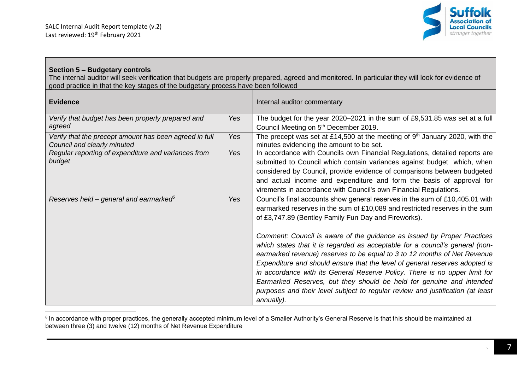

## **Section 5 – Budgetary controls**

The internal auditor will seek verification that budgets are properly prepared, agreed and monitored. In particular they will look for evidence of good practice in that the key stages of the budgetary process have been followed

| <b>Evidence</b>                                                                       |            | Internal auditor commentary                                                                                                                                                                                                                                                                                                                                                                                                                                                                                                                                                                                                                                                                                                                                                                     |
|---------------------------------------------------------------------------------------|------------|-------------------------------------------------------------------------------------------------------------------------------------------------------------------------------------------------------------------------------------------------------------------------------------------------------------------------------------------------------------------------------------------------------------------------------------------------------------------------------------------------------------------------------------------------------------------------------------------------------------------------------------------------------------------------------------------------------------------------------------------------------------------------------------------------|
| Verify that budget has been properly prepared and<br>agreed                           | <b>Yes</b> | The budget for the year 2020–2021 in the sum of £9,531.85 was set at a full<br>Council Meeting on 5 <sup>th</sup> December 2019.                                                                                                                                                                                                                                                                                                                                                                                                                                                                                                                                                                                                                                                                |
| Verify that the precept amount has been agreed in full<br>Council and clearly minuted | Yes        | The precept was set at £14,500 at the meeting of $9th$ January 2020, with the<br>minutes evidencing the amount to be set.                                                                                                                                                                                                                                                                                                                                                                                                                                                                                                                                                                                                                                                                       |
| Regular reporting of expenditure and variances from<br>budget                         | Yes        | In accordance with Councils own Financial Regulations, detailed reports are<br>submitted to Council which contain variances against budget which, when<br>considered by Council, provide evidence of comparisons between budgeted<br>and actual income and expenditure and form the basis of approval for<br>virements in accordance with Council's own Financial Regulations.                                                                                                                                                                                                                                                                                                                                                                                                                  |
| Reserves held – general and earmarked <sup>6</sup>                                    | Yes        | Council's final accounts show general reserves in the sum of £10,405.01 with<br>earmarked reserves in the sum of £10,089 and restricted reserves in the sum<br>of £3,747.89 (Bentley Family Fun Day and Fireworks).<br>Comment: Council is aware of the guidance as issued by Proper Practices<br>which states that it is regarded as acceptable for a council's general (non-<br>earmarked revenue) reserves to be equal to 3 to 12 months of Net Revenue<br>Expenditure and should ensure that the level of general reserves adopted is<br>in accordance with its General Reserve Policy. There is no upper limit for<br>Earmarked Reserves, but they should be held for genuine and intended<br>purposes and their level subject to regular review and justification (at least<br>annually). |

 $^{\rm 6}$  In accordance with proper practices, the generally accepted minimum level of a Smaller Authority's General Reserve is that this should be maintained at between three (3) and twelve (12) months of Net Revenue Expenditure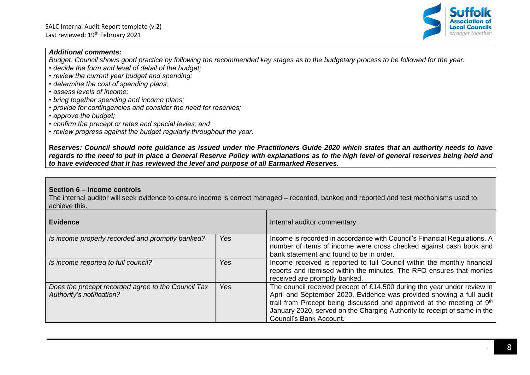

*Budget: Council shows good practice by following the recommended key stages as to the budgetary process to be followed for the year:*

- *decide the form and level of detail of the budget;*
- *review the current year budget and spending;*
- *determine the cost of spending plans;*
- *assess levels of income;*
- *bring together spending and income plans;*
- *provide for contingencies and consider the need for reserves;*
- *approve the budget;*
- *confirm the precept or rates and special levies; and*

*• review progress against the budget regularly throughout the year.*

**R***eserves: Council should note guidance as issued under the Practitioners Guide 2020 which states that an authority needs to have regards to the need to put in place a General Reserve Policy with explanations as to the high level of general reserves being held and to have evidenced that it has reviewed the level and purpose of all Earmarked Reserves.*

## **Section 6 – income controls**

The internal auditor will seek evidence to ensure income is correct managed – recorded, banked and reported and test mechanisms used to achieve this.

| <b>Evidence</b>                                                                 |     | Internal auditor commentary                                                                                                                                                                                                                                                                                                                 |
|---------------------------------------------------------------------------------|-----|---------------------------------------------------------------------------------------------------------------------------------------------------------------------------------------------------------------------------------------------------------------------------------------------------------------------------------------------|
| Is income properly recorded and promptly banked?                                | Yes | Income is recorded in accordance with Council's Financial Regulations. A<br>number of items of income were cross checked against cash book and<br>bank statement and found to be in order.                                                                                                                                                  |
| Is income reported to full council?                                             | Yes | Income received is reported to full Council within the monthly financial<br>reports and itemised within the minutes. The RFO ensures that monies<br>received are promptly banked.                                                                                                                                                           |
| Does the precept recorded agree to the Council Tax<br>Authority's notification? | Yes | The council received precept of £14,500 during the year under review in<br>April and September 2020. Evidence was provided showing a full audit<br>trail from Precept being discussed and approved at the meeting of 9 <sup>th</sup><br>January 2020, served on the Charging Authority to receipt of same in the<br>Council's Bank Account. |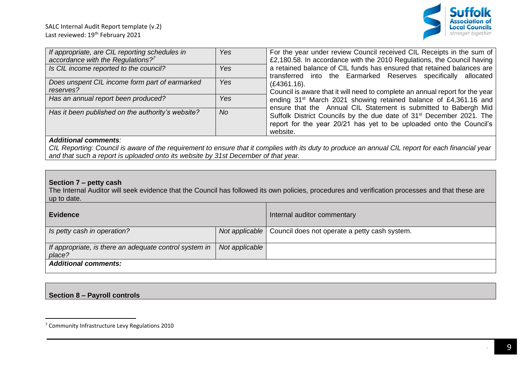

| If appropriate, are CIL reporting schedules in    | <b>Yes</b> | For the year under review Council received CIL Receipts in the sum of            |
|---------------------------------------------------|------------|----------------------------------------------------------------------------------|
|                                                   |            |                                                                                  |
| accordance with the Regulations? $7^7$            |            | £2,180.58. In accordance with the 2010 Regulations, the Council having           |
| Is CIL income reported to the council?            | <b>Yes</b> | a retained balance of CIL funds has ensured that retained balances are           |
|                                                   |            |                                                                                  |
|                                                   |            | transferred into the Earmarked Reserves specifically allocated                   |
| Does unspent CIL income form part of earmarked    | Yes        | $(E4361.16)$ .                                                                   |
|                                                   |            |                                                                                  |
| reserves?                                         |            | Council is aware that it will need to complete an annual report for the year     |
| Has an annual report been produced?               | Yes        | ending 31 <sup>st</sup> March 2021 showing retained balance of £4,361.16 and     |
|                                                   |            |                                                                                  |
|                                                   |            | ensure that the Annual CIL Statement is submitted to Babergh Mid                 |
| Has it been published on the authority's website? | <b>No</b>  |                                                                                  |
|                                                   |            | Suffolk District Councils by the due date of 31 <sup>st</sup> December 2021. The |
|                                                   |            | report for the year 20/21 has yet to be uploaded onto the Council's              |
|                                                   |            |                                                                                  |
|                                                   |            | website.                                                                         |

*CIL Reporting: Council is aware of the requirement to ensure that it complies with its duty to produce an annual CIL report for each financial year and that such a report is uploaded onto its website by 31st December of that year.*

## **Section 7 – petty cash**

The Internal Auditor will seek evidence that the Council has followed its own policies, procedures and verification processes and that these are up to date.

| <b>Evidence</b>                                                  |                | Internal auditor commentary                                    |
|------------------------------------------------------------------|----------------|----------------------------------------------------------------|
| Is petty cash in operation?                                      |                | Not applicable   Council does not operate a petty cash system. |
| If appropriate, is there an adequate control system in<br>place? | Not applicable |                                                                |
| <b>Additional comments:</b>                                      |                |                                                                |

## **Section 8 – Payroll controls**

<sup>7</sup> Community Infrastructure Levy Regulations 2010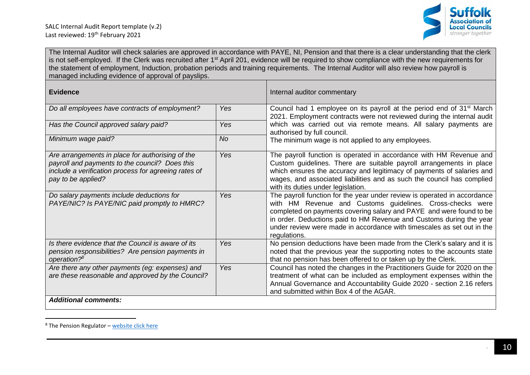

The Internal Auditor will check salaries are approved in accordance with PAYE, NI, Pension and that there is a clear understanding that the clerk is not self-employed. If the Clerk was recruited after 1<sup>st</sup> April 201, evidence will be required to show compliance with the new requirements for the statement of employment, Induction, probation periods and training requirements. The Internal Auditor will also review how payroll is managed including evidence of approval of payslips.

| <b>Evidence</b>                                                                                                                                                                  |           | Internal auditor commentary                                                                                                                                                                                                                                                                                                                                                   |
|----------------------------------------------------------------------------------------------------------------------------------------------------------------------------------|-----------|-------------------------------------------------------------------------------------------------------------------------------------------------------------------------------------------------------------------------------------------------------------------------------------------------------------------------------------------------------------------------------|
| Do all employees have contracts of employment?                                                                                                                                   | Yes       | Council had 1 employee on its payroll at the period end of 31 <sup>st</sup> March<br>2021. Employment contracts were not reviewed during the internal audit                                                                                                                                                                                                                   |
| Has the Council approved salary paid?                                                                                                                                            | Yes       | which was carried out via remote means. All salary payments are<br>authorised by full council.                                                                                                                                                                                                                                                                                |
| Minimum wage paid?                                                                                                                                                               | <b>No</b> | The minimum wage is not applied to any employees.                                                                                                                                                                                                                                                                                                                             |
| Are arrangements in place for authorising of the<br>payroll and payments to the council? Does this<br>include a verification process for agreeing rates of<br>pay to be applied? | Yes       | The payroll function is operated in accordance with HM Revenue and<br>Custom guidelines. There are suitable payroll arrangements in place<br>which ensures the accuracy and legitimacy of payments of salaries and<br>wages, and associated liabilities and as such the council has complied<br>with its duties under legislation.                                            |
| Do salary payments include deductions for<br>PAYE/NIC? Is PAYE/NIC paid promptly to HMRC?                                                                                        | Yes       | The payroll function for the year under review is operated in accordance<br>with HM Revenue and Customs guidelines. Cross-checks were<br>completed on payments covering salary and PAYE and were found to be<br>in order. Deductions paid to HM Revenue and Customs during the year<br>under review were made in accordance with timescales as set out in the<br>regulations. |
| Is there evidence that the Council is aware of its<br>pension responsibilities? Are pension payments in<br>operation? <sup>8</sup>                                               | Yes       | No pension deductions have been made from the Clerk's salary and it is<br>noted that the previous year the supporting notes to the accounts state<br>that no pension has been offered to or taken up by the Clerk.                                                                                                                                                            |
| Are there any other payments (eg: expenses) and<br>are these reasonable and approved by the Council?                                                                             | Yes       | Council has noted the changes in the Practitioners Guide for 2020 on the<br>treatment of what can be included as employment expenses within the<br>Annual Governance and Accountability Guide 2020 - section 2.16 refers<br>and submitted within Box 4 of the AGAR.                                                                                                           |
| <b>Additional comments:</b>                                                                                                                                                      |           |                                                                                                                                                                                                                                                                                                                                                                               |

 $8$  The Pension Regulator – [website click here](https://www.thepensionsregulator.gov.uk/en/employers)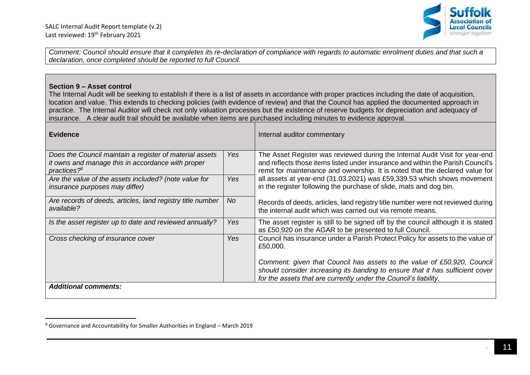

*Comment: Council should ensure that it completes its re-declaration of compliance with regards to automatic enrolment duties and that such a declaration, once completed should be reported to full Council.*

#### **Section 9 – Asset control**

The Internal Audit will be seeking to establish if there is a list of assets in accordance with proper practices including the date of acquisition, location and value. This extends to checking policies (with evidence of review) and that the Council has applied the documented approach in practice. The Internal Auditor will check not only valuation processes but the existence of reserve budgets for depreciation and adequacy of insurance. A clear audit trail should be available when items are purchased including minutes to evidence approval.

| <b>Evidence</b>                                                                                                                  |      | Internal auditor commentary                                                                                                                                                                                                                     |
|----------------------------------------------------------------------------------------------------------------------------------|------|-------------------------------------------------------------------------------------------------------------------------------------------------------------------------------------------------------------------------------------------------|
| Does the Council maintain a register of material assets<br>it owns and manage this in accordance with proper<br>practices? $9^9$ | Yes  | The Asset Register was reviewed during the Internal Audit Visit for year-end<br>and reflects those items listed under insurance and within the Parish Council's<br>remit for maintenance and ownership. It is noted that the declared value for |
| Are the value of the assets included? (note value for<br><i>insurance purposes may differ)</i>                                   | Yes: | all assets at year-end (31.03.2021) was £59,339.53 which shows movement<br>in the register following the purchase of slide, mats and dog bin.                                                                                                   |
| Are records of deeds, articles, land registry title number<br>available?                                                         | No   | Records of deeds, articles, land registry title number were not reviewed during<br>the internal audit which was carried out via remote means.                                                                                                   |
| Is the asset register up to date and reviewed annually?                                                                          | Yes  | The asset register is still to be signed off by the council although it is stated<br>as £50,920 on the AGAR to be presented to full Council.                                                                                                    |
| Cross checking of insurance cover                                                                                                | Yes  | Council has insurance under a Parish Protect Policy for assets to the value of<br>£50,000.                                                                                                                                                      |
|                                                                                                                                  |      | Comment: given that Council has assets to the value of £50,920, Council<br>should consider increasing its banding to ensure that it has sufficient cover<br>for the assets that are currently under the Council's liability.                    |
| <b>Additional comments:</b>                                                                                                      |      |                                                                                                                                                                                                                                                 |

 $9$  Governance and Accountability for Smaller Authorities in England – March 2019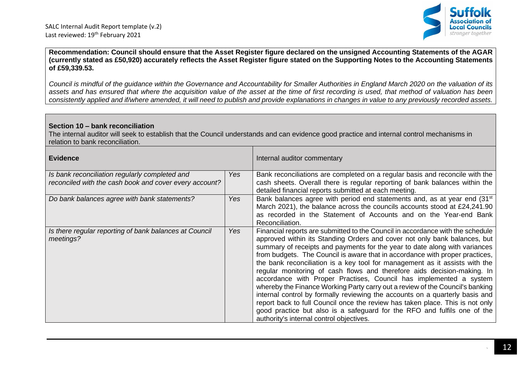

**Recommendation: Council should ensure that the Asset Register figure declared on the unsigned Accounting Statements of the AGAR (currently stated as £50,920) accurately reflects the Asset Register figure stated on the Supporting Notes to the Accounting Statements of £59,339.53.**

*Council is mindful of the guidance within the Governance and Accountability for Smaller Authorities in England March 2020 on the valuation of its assets and has ensured that where the acquisition value of the asset at the time of first recording is used, that method of valuation has been consistently applied and if/where amended, it will need to publish and provide explanations in changes in value to any previously recorded assets.*

#### **Section 10 – bank reconciliation**

The internal auditor will seek to establish that the Council understands and can evidence good practice and internal control mechanisms in relation to bank reconciliation.

| <b>Evidence</b>                                                                                          |     | Internal auditor commentary                                                                                                                                                                                                                                                                                                                                                                                                                                                                                                                                                                                                                                                                                                                                                                                                                                                                                                         |
|----------------------------------------------------------------------------------------------------------|-----|-------------------------------------------------------------------------------------------------------------------------------------------------------------------------------------------------------------------------------------------------------------------------------------------------------------------------------------------------------------------------------------------------------------------------------------------------------------------------------------------------------------------------------------------------------------------------------------------------------------------------------------------------------------------------------------------------------------------------------------------------------------------------------------------------------------------------------------------------------------------------------------------------------------------------------------|
| Is bank reconciliation regularly completed and<br>reconciled with the cash book and cover every account? | Yes | Bank reconciliations are completed on a regular basis and reconcile with the<br>cash sheets. Overall there is regular reporting of bank balances within the<br>detailed financial reports submitted at each meeting.                                                                                                                                                                                                                                                                                                                                                                                                                                                                                                                                                                                                                                                                                                                |
| Do bank balances agree with bank statements?                                                             | Yes | Bank balances agree with period end statements and, as at year end (31 <sup>st</sup> )<br>March 2021), the balance across the councils accounts stood at £24,241.90<br>as recorded in the Statement of Accounts and on the Year-end Bank<br>Reconciliation.                                                                                                                                                                                                                                                                                                                                                                                                                                                                                                                                                                                                                                                                         |
| Is there regular reporting of bank balances at Council<br>meetings?                                      | Yes | Financial reports are submitted to the Council in accordance with the schedule<br>approved within its Standing Orders and cover not only bank balances, but<br>summary of receipts and payments for the year to date along with variances<br>from budgets. The Council is aware that in accordance with proper practices,<br>the bank reconciliation is a key tool for management as it assists with the<br>regular monitoring of cash flows and therefore aids decision-making. In<br>accordance with Proper Practises, Council has implemented a system<br>whereby the Finance Working Party carry out a review of the Council's banking<br>internal control by formally reviewing the accounts on a quarterly basis and<br>report back to full Council once the review has taken place. This is not only<br>good practice but also is a safeguard for the RFO and fulfils one of the<br>authority's internal control objectives. |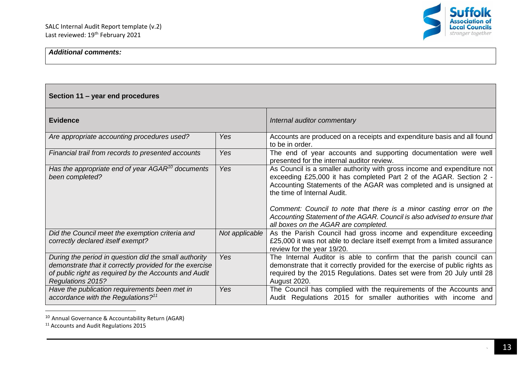

| Section 11 - year end procedures                                                                                                                                                               |                |                                                                                                                                                                                                                                                                                                                                                                                                                                               |
|------------------------------------------------------------------------------------------------------------------------------------------------------------------------------------------------|----------------|-----------------------------------------------------------------------------------------------------------------------------------------------------------------------------------------------------------------------------------------------------------------------------------------------------------------------------------------------------------------------------------------------------------------------------------------------|
| <b>Evidence</b>                                                                                                                                                                                |                | Internal auditor commentary                                                                                                                                                                                                                                                                                                                                                                                                                   |
| Are appropriate accounting procedures used?                                                                                                                                                    | Yes            | Accounts are produced on a receipts and expenditure basis and all found<br>to be in order.                                                                                                                                                                                                                                                                                                                                                    |
| Financial trail from records to presented accounts                                                                                                                                             | Yes            | The end of year accounts and supporting documentation were well<br>presented for the internal auditor review.                                                                                                                                                                                                                                                                                                                                 |
| Has the appropriate end of year $AGAR^{10}$ documents<br>been completed?                                                                                                                       | Yes            | As Council is a smaller authority with gross income and expenditure not<br>exceeding £25,000 it has completed Part 2 of the AGAR. Section 2 -<br>Accounting Statements of the AGAR was completed and is unsigned at<br>the time of Internal Audit.<br>Comment: Council to note that there is a minor casting error on the<br>Accounting Statement of the AGAR. Council is also advised to ensure that<br>all boxes on the AGAR are completed. |
| Did the Council meet the exemption criteria and<br>correctly declared itself exempt?                                                                                                           | Not applicable | As the Parish Council had gross income and expenditure exceeding<br>£25,000 it was not able to declare itself exempt from a limited assurance<br>review for the year 19/20.                                                                                                                                                                                                                                                                   |
| During the period in question did the small authority<br>demonstrate that it correctly provided for the exercise<br>of public right as required by the Accounts and Audit<br>Regulations 2015? | <b>Yes</b>     | The Internal Auditor is able to confirm that the parish council can<br>demonstrate that it correctly provided for the exercise of public rights as<br>required by the 2015 Regulations. Dates set were from 20 July until 28<br>August 2020.                                                                                                                                                                                                  |
| Have the publication requirements been met in<br>accordance with the Regulations? <sup>11</sup>                                                                                                | Yes            | The Council has complied with the requirements of the Accounts and<br>Audit Regulations 2015 for smaller authorities with income and                                                                                                                                                                                                                                                                                                          |

<sup>10</sup> Annual Governance & Accountability Return (AGAR)

<sup>&</sup>lt;sup>11</sup> Accounts and Audit Regulations 2015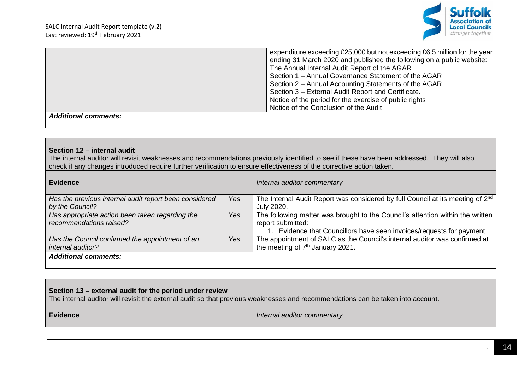

| expenditure exceeding £25,000 but not exceeding £6.5 million for the year<br>ending 31 March 2020 and published the following on a public website:<br>The Annual Internal Audit Report of the AGAR<br>Section 1 - Annual Governance Statement of the AGAR<br>Section 2 - Annual Accounting Statements of the AGAR<br>Section 3 – External Audit Report and Certificate. | Notice of the period for the exercise of public rights<br>Notice of the Conclusion of the Audit |
|-------------------------------------------------------------------------------------------------------------------------------------------------------------------------------------------------------------------------------------------------------------------------------------------------------------------------------------------------------------------------|-------------------------------------------------------------------------------------------------|
|                                                                                                                                                                                                                                                                                                                                                                         |                                                                                                 |

#### **Section 12 – internal audit**

The internal auditor will revisit weaknesses and recommendations previously identified to see if these have been addressed. They will also check if any changes introduced require further verification to ensure effectiveness of the corrective action taken.

| Evidence                                                                   |            | Internal auditor commentary                                                                                                                                              |
|----------------------------------------------------------------------------|------------|--------------------------------------------------------------------------------------------------------------------------------------------------------------------------|
| Has the previous internal audit report been considered                     | Yes        | The Internal Audit Report was considered by full Council at its meeting of 2 <sup>nd</sup>                                                                               |
| by the Council?                                                            |            | July 2020.                                                                                                                                                               |
| Has appropriate action been taken regarding the<br>recommendations raised? | Yes        | The following matter was brought to the Council's attention within the written<br>report submitted:<br>Evidence that Councillors have seen invoices/requests for payment |
| Has the Council confirmed the appointment of an<br>internal auditor?       | <b>Yes</b> | The appointment of SALC as the Council's internal auditor was confirmed at<br>the meeting of 7 <sup>th</sup> January 2021.                                               |
| <b>Additional comments:</b>                                                |            |                                                                                                                                                                          |

The internal auditor will revisit the external audit so that previous weaknesses and recommendations can be taken into account.

| Evidence | Internal auditor commentary |
|----------|-----------------------------|
|----------|-----------------------------|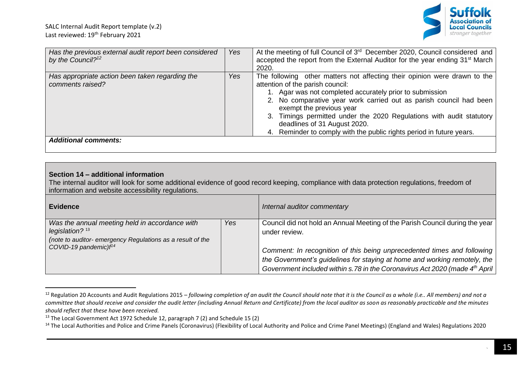

| Has the previous external audit report been considered<br>by the Council? <sup>12</sup> | Yes | At the meeting of full Council of 3 <sup>rd</sup> December 2020, Council considered and<br>accepted the report from the External Auditor for the year ending 31 <sup>st</sup> March<br>2020.                                                                                                                                                                                                                                                                |
|-----------------------------------------------------------------------------------------|-----|-------------------------------------------------------------------------------------------------------------------------------------------------------------------------------------------------------------------------------------------------------------------------------------------------------------------------------------------------------------------------------------------------------------------------------------------------------------|
| Has appropriate action been taken regarding the<br>comments raised?                     | Yes | The following other matters not affecting their opinion were drawn to the<br>attention of the parish council:<br>1. Agar was not completed accurately prior to submission<br>2. No comparative year work carried out as parish council had been<br>exempt the previous year<br>3. Timings permitted under the 2020 Regulations with audit statutory<br>deadlines of 31 August 2020.<br>4. Reminder to comply with the public rights period in future years. |
| <b>Additional comments:</b>                                                             |     |                                                                                                                                                                                                                                                                                                                                                                                                                                                             |

## **Section 14 – additional information**

The internal auditor will look for some additional evidence of good record keeping, compliance with data protection regulations, freedom of information and website accessibility regulations.

| <b>Evidence</b>                                                                                                                                                        |     | Internal auditor commentary                                                                                                                                                                                                                                                                                                                      |
|------------------------------------------------------------------------------------------------------------------------------------------------------------------------|-----|--------------------------------------------------------------------------------------------------------------------------------------------------------------------------------------------------------------------------------------------------------------------------------------------------------------------------------------------------|
| Was the annual meeting held in accordance with<br>legislation? $13$<br>(note to auditor- emergency Regulations as a result of the<br>COVID-19 pandemic)f <sup>14</sup> | Yes | Council did not hold an Annual Meeting of the Parish Council during the year<br>under review.<br>Comment: In recognition of this being unprecedented times and following<br>the Government's guidelines for staying at home and working remotely, the<br>Government included within s.78 in the Coronavirus Act 2020 (made 4 <sup>th</sup> April |

<sup>&</sup>lt;sup>12</sup> Regulation 20 Accounts and Audit Regulations 2015 – *following completion of an audit the Council should note that it is the Council as a whole (i.e.. All members) and not a committee that should receive and consider the audit letter (including Annual Return and Certificate) from the local auditor as soon as reasonably practicable and the minutes should reflect that these have been received.*

<sup>&</sup>lt;sup>13</sup> The Local Government Act 1972 Schedule 12, paragraph 7 (2) and Schedule 15 (2)

<sup>&</sup>lt;sup>14</sup> The Local Authorities and Police and Crime Panels (Coronavirus) (Flexibility of Local Authority and Police and Crime Panel Meetings) (England and Wales) Regulations 2020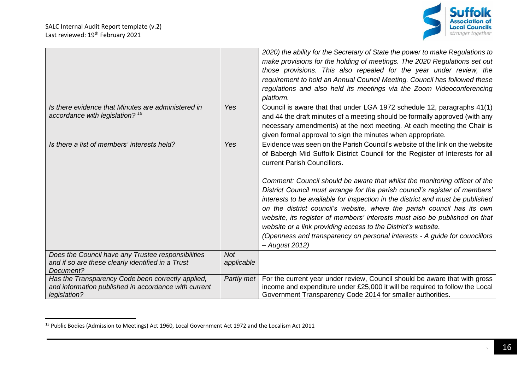

|                                                                                                                           |                          | 2020) the ability for the Secretary of State the power to make Regulations to<br>make provisions for the holding of meetings. The 2020 Regulations set out<br>those provisions. This also repealed for the year under review, the<br>requirement to hold an Annual Council Meeting. Council has followed these<br>regulations and also held its meetings via the Zoom Videoconferencing<br>platform.                                                                                                                   |
|---------------------------------------------------------------------------------------------------------------------------|--------------------------|------------------------------------------------------------------------------------------------------------------------------------------------------------------------------------------------------------------------------------------------------------------------------------------------------------------------------------------------------------------------------------------------------------------------------------------------------------------------------------------------------------------------|
| Is there evidence that Minutes are administered in<br>accordance with legislation? <sup>15</sup>                          | Yes                      | Council is aware that that under LGA 1972 schedule 12, paragraphs 41(1)<br>and 44 the draft minutes of a meeting should be formally approved (with any<br>necessary amendments) at the next meeting. At each meeting the Chair is<br>given formal approval to sign the minutes when appropriate.                                                                                                                                                                                                                       |
| Is there a list of members' interests held?                                                                               | Yes                      | Evidence was seen on the Parish Council's website of the link on the website<br>of Babergh Mid Suffolk District Council for the Register of Interests for all<br>current Parish Councillors.<br>Comment: Council should be aware that whilst the monitoring officer of the<br>District Council must arrange for the parish council's register of members'<br>interests to be available for inspection in the district and must be published<br>on the district council's website, where the parish council has its own |
|                                                                                                                           |                          | website, its register of members' interests must also be published on that<br>website or a link providing access to the District's website.<br>(Openness and transparency on personal interests - A guide for councillors<br>- August 2012)                                                                                                                                                                                                                                                                            |
| Does the Council have any Trustee responsibilities<br>and if so are these clearly identified in a Trust<br>Document?      | <b>Not</b><br>applicable |                                                                                                                                                                                                                                                                                                                                                                                                                                                                                                                        |
| Has the Transparency Code been correctly applied,<br>and information published in accordance with current<br>legislation? | Partly met               | For the current year under review, Council should be aware that with gross<br>income and expenditure under £25,000 it will be required to follow the Local<br>Government Transparency Code 2014 for smaller authorities.                                                                                                                                                                                                                                                                                               |

<sup>15</sup> Public Bodies (Admission to Meetings) Act 1960, Local Government Act 1972 and the Localism Act 2011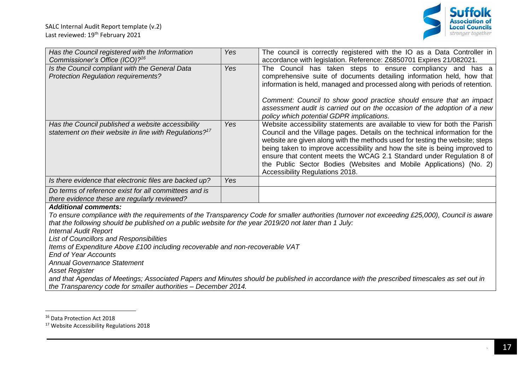

| Has the Council registered with the Information<br>Commissioner's Office (ICO)? <sup>16</sup>                                                                                                                                                                                                                                                                                                                                                        | Yes | The council is correctly registered with the IO as a Data Controller in<br>accordance with legislation. Reference: Z6850701 Expires 21/082021.                                                                                                                                                                                                                                                                                                                                                             |  |  |
|------------------------------------------------------------------------------------------------------------------------------------------------------------------------------------------------------------------------------------------------------------------------------------------------------------------------------------------------------------------------------------------------------------------------------------------------------|-----|------------------------------------------------------------------------------------------------------------------------------------------------------------------------------------------------------------------------------------------------------------------------------------------------------------------------------------------------------------------------------------------------------------------------------------------------------------------------------------------------------------|--|--|
| Is the Council compliant with the General Data<br><b>Protection Regulation requirements?</b>                                                                                                                                                                                                                                                                                                                                                         | Yes | The Council has taken steps to ensure compliancy and has a<br>comprehensive suite of documents detailing information held, how that<br>information is held, managed and processed along with periods of retention.<br>Comment: Council to show good practice should ensure that an impact<br>assessment audit is carried out on the occasion of the adoption of a new<br>policy which potential GDPR implications.                                                                                         |  |  |
| Has the Council published a website accessibility<br>statement on their website in line with Regulations? <sup>17</sup>                                                                                                                                                                                                                                                                                                                              | Yes | Website accessibility statements are available to view for both the Parish<br>Council and the Village pages. Details on the technical information for the<br>website are given along with the methods used for testing the website; steps<br>being taken to improve accessibility and how the site is being improved to<br>ensure that content meets the WCAG 2.1 Standard under Regulation 8 of<br>the Public Sector Bodies (Websites and Mobile Applications) (No. 2)<br>Accessibility Regulations 2018. |  |  |
| Is there evidence that electronic files are backed up?                                                                                                                                                                                                                                                                                                                                                                                               | Yes |                                                                                                                                                                                                                                                                                                                                                                                                                                                                                                            |  |  |
| Do terms of reference exist for all committees and is<br>there evidence these are regularly reviewed?                                                                                                                                                                                                                                                                                                                                                |     |                                                                                                                                                                                                                                                                                                                                                                                                                                                                                                            |  |  |
| <b>Additional comments:</b>                                                                                                                                                                                                                                                                                                                                                                                                                          |     |                                                                                                                                                                                                                                                                                                                                                                                                                                                                                                            |  |  |
| To ensure compliance with the requirements of the Transparency Code for smaller authorities (turnover not exceeding £25,000), Council is aware<br>that the following should be published on a public website for the year 2019/20 not later than 1 July:<br><b>Internal Audit Report</b><br>List of Councillors and Responsibilities<br>Items of Expenditure Above £100 including recoverable and non-recoverable VAT<br><b>End of Year Accounts</b> |     |                                                                                                                                                                                                                                                                                                                                                                                                                                                                                                            |  |  |
| <b>Annual Governance Statement</b>                                                                                                                                                                                                                                                                                                                                                                                                                   |     |                                                                                                                                                                                                                                                                                                                                                                                                                                                                                                            |  |  |
| <b>Asset Register</b>                                                                                                                                                                                                                                                                                                                                                                                                                                |     |                                                                                                                                                                                                                                                                                                                                                                                                                                                                                                            |  |  |
|                                                                                                                                                                                                                                                                                                                                                                                                                                                      |     | and that Agendas of Meetings; Associated Papers and Minutes should be published in accordance with the prescribed timescales as set out in                                                                                                                                                                                                                                                                                                                                                                 |  |  |
| the Transparency code for smaller authorities - December 2014.                                                                                                                                                                                                                                                                                                                                                                                       |     |                                                                                                                                                                                                                                                                                                                                                                                                                                                                                                            |  |  |

<sup>&</sup>lt;sup>16</sup> Data Protection Act 2018

<sup>17</sup> Website Accessibility Regulations 2018